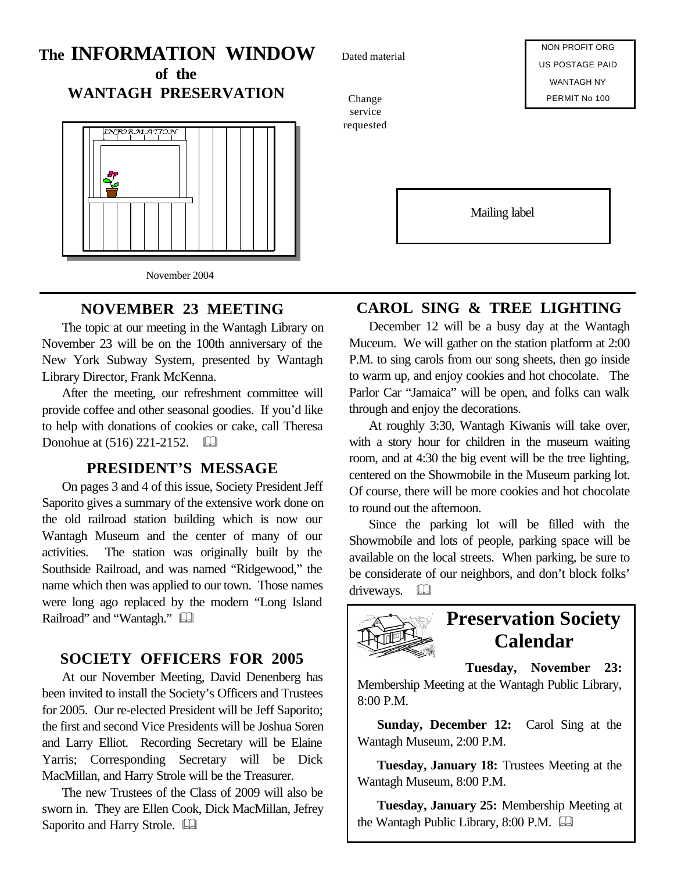# **The INFORMATION WINDOW**

**of the WANTAGH PRESERVATION**



### **NOVEMBER 23 MEETING**

The topic at our meeting in the Wantagh Library on November 23 will be on the 100th anniversary of the New York Subway System, presented by Wantagh Library Director, Frank McKenna.

After the meeting, our refreshment committee will provide coffee and other seasonal goodies. If you'd like to help with donations of cookies or cake, call Theresa Donohue at  $(516)$  221-2152.  $\Box$ 

#### **PRESIDENT'S MESSAGE**

On pages 3 and 4 of this issue, Society President Jeff Saporito gives a summary of the extensive work done on the old railroad station building which is now our Wantagh Museum and the center of many of our activities. The station was originally built by the Southside Railroad, and was named "Ridgewood," the name which then was applied to our town. Those names were long ago replaced by the modern "Long Island Railroad" and "Wantagh."

### **SOCIETY OFFICERS FOR 2005**

At our November Meeting, David Denenberg has been invited to install the Society's Officers and Trustees for 2005. Our re-elected President will be Jeff Saporito; the first and second Vice Presidents will be Joshua Soren and Larry Elliot. Recording Secretary will be Elaine Yarris; Corresponding Secretary will be Dick MacMillan, and Harry Strole will be the Treasurer.

The new Trustees of the Class of 2009 will also be sworn in. They are Ellen Cook, Dick MacMillan, Jefrey Saporito and Harry Strole.  $\Box$ 

Dated material

Change service requested

NON PROFIT ORG US POSTAGE PAID WANTAGH NY PERMIT No 100

Mailing label

### **CAROL SING & TREE LIGHTING**

December 12 will be a busy day at the Wantagh Muceum. We will gather on the station platform at 2:00 P.M. to sing carols from our song sheets, then go inside to warm up, and enjoy cookies and hot chocolate. The Parlor Car "Jamaica" will be open, and folks can walk through and enjoy the decorations.

At roughly 3:30, Wantagh Kiwanis will take over, with a story hour for children in the museum waiting room, and at 4:30 the big event will be the tree lighting, centered on the Showmobile in the Museum parking lot. Of course, there will be more cookies and hot chocolate to round out the afternoon.

Since the parking lot will be filled with the Showmobile and lots of people, parking space will be available on the local streets. When parking, be sure to be considerate of our neighbors, and don't block folks' driveways.  $\Box$ 



## **Preservation Society Calendar**

**Tuesday, November 23:**

Membership Meeting at the Wantagh Public Library, 8:00 P.M.

**Sunday, December 12:** Carol Sing at the Wantagh Museum, 2:00 P.M.

**Tuesday, January 18:** Trustees Meeting at the Wantagh Museum, 8:00 P.M.

**Tuesday, January 25:** Membership Meeting at the Wantagh Public Library,  $8:00$  P.M.  $\Box$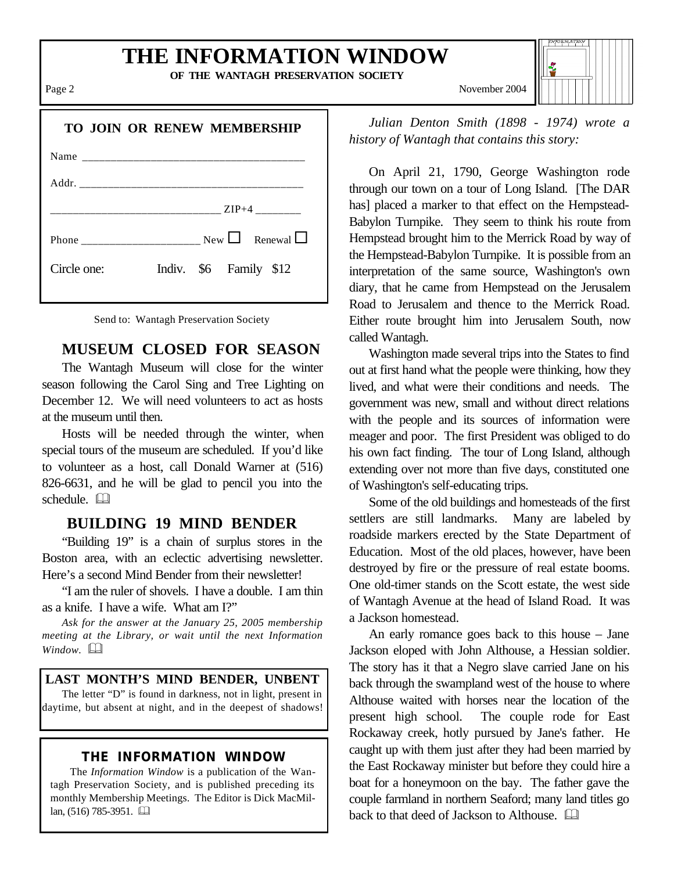## **THE INFORMATION WINDOW**

**OF THE WANTAGH PRESERVATION SOCIETY**

| <b>TO JOIN OR RENEW MEMBERSHIP</b>    |
|---------------------------------------|
|                                       |
|                                       |
|                                       |
|                                       |
| Indiv. \$6 Family \$12<br>Circle one: |
|                                       |

|  | Send to: Wantagh Preservation Society |  |
|--|---------------------------------------|--|
|  |                                       |  |

### **MUSEUM CLOSED FOR SEASON**

The Wantagh Museum will close for the winter season following the Carol Sing and Tree Lighting on December 12. We will need volunteers to act as hosts at the museum until then.

Hosts will be needed through the winter, when special tours of the museum are scheduled. If you'd like to volunteer as a host, call Donald Warner at (516) 826-6631, and he will be glad to pencil you into the  $schedule.$ 

#### **BUILDING 19 MIND BENDER**

"Building 19" is a chain of surplus stores in the Boston area, with an eclectic advertising newsletter. Here's a second Mind Bender from their newsletter!

"I am the ruler of shovels. I have a double. I am thin as a knife. I have a wife. What am I?"

*Ask for the answer at the January 25, 2005 membership meeting at the Library, or wait until the next Information Window.*  $\Box$ 

#### **LAST MONTH'S MIND BENDER, UNBENT**

The letter "D" is found in darkness, not in light, present in daytime, but absent at night, and in the deepest of shadows!

#### **THE INFORMATION WINDOW**

The *Information Window* is a publication of the Wantagh Preservation Society, and is published preceding its monthly Membership Meetings. The Editor is Dick MacMillan, (516) 785-3951. &

Page 2 November 2004

*Julian Denton Smith (1898 - 1974) wrote a history of Wantagh that contains this story:*

On April 21, 1790, George Washington rode through our town on a tour of Long Island. [The DAR has] placed a marker to that effect on the Hempstead-Babylon Turnpike. They seem to think his route from Hempstead brought him to the Merrick Road by way of the Hempstead-Babylon Turnpike. It is possible from an interpretation of the same source, Washington's own diary, that he came from Hempstead on the Jerusalem Road to Jerusalem and thence to the Merrick Road. Either route brought him into Jerusalem South, now called Wantagh.

Washington made several trips into the States to find out at first hand what the people were thinking, how they lived, and what were their conditions and needs. The government was new, small and without direct relations with the people and its sources of information were meager and poor. The first President was obliged to do his own fact finding. The tour of Long Island, although extending over not more than five days, constituted one of Washington's self-educating trips.

Some of the old buildings and homesteads of the first settlers are still landmarks. Many are labeled by roadside markers erected by the State Department of Education. Most of the old places, however, have been destroyed by fire or the pressure of real estate booms. One old-timer stands on the Scott estate, the west side of Wantagh Avenue at the head of Island Road. It was a Jackson homestead.

An early romance goes back to this house – Jane Jackson eloped with John Althouse, a Hessian soldier. The story has it that a Negro slave carried Jane on his back through the swampland west of the house to where Althouse waited with horses near the location of the present high school. The couple rode for East Rockaway creek, hotly pursued by Jane's father. He caught up with them just after they had been married by the East Rockaway minister but before they could hire a boat for a honeymoon on the bay. The father gave the couple farmland in northern Seaford; many land titles go back to that deed of Jackson to Althouse.  $\Box$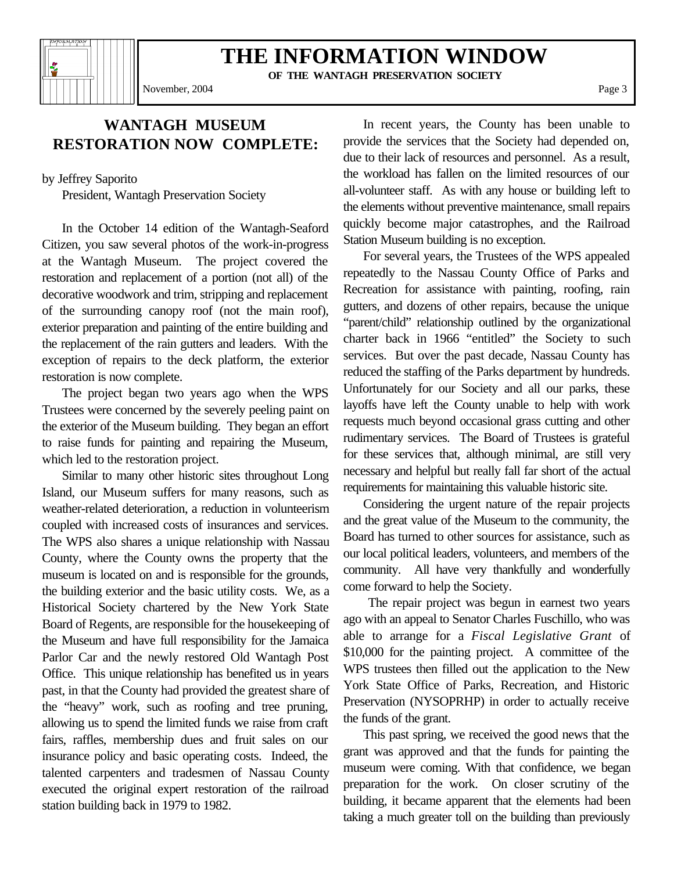

## **THE INFORMATION WINDOW**

**OF THE WANTAGH PRESERVATION SOCIETY**

November, 2004 Page 3

**WANTAGH MUSEUM RESTORATION NOW COMPLETE:**

by Jeffrey Saporito

President, Wantagh Preservation Society

In the October 14 edition of the Wantagh-Seaford Citizen, you saw several photos of the work-in-progress at the Wantagh Museum. The project covered the restoration and replacement of a portion (not all) of the decorative woodwork and trim, stripping and replacement of the surrounding canopy roof (not the main roof), exterior preparation and painting of the entire building and the replacement of the rain gutters and leaders. With the exception of repairs to the deck platform, the exterior restoration is now complete.

The project began two years ago when the WPS Trustees were concerned by the severely peeling paint on the exterior of the Museum building. They began an effort to raise funds for painting and repairing the Museum, which led to the restoration project.

Similar to many other historic sites throughout Long Island, our Museum suffers for many reasons, such as weather-related deterioration, a reduction in volunteerism coupled with increased costs of insurances and services. The WPS also shares a unique relationship with Nassau County, where the County owns the property that the museum is located on and is responsible for the grounds, the building exterior and the basic utility costs. We, as a Historical Society chartered by the New York State Board of Regents, are responsible for the housekeeping of the Museum and have full responsibility for the Jamaica Parlor Car and the newly restored Old Wantagh Post Office. This unique relationship has benefited us in years past, in that the County had provided the greatest share of the "heavy" work, such as roofing and tree pruning, allowing us to spend the limited funds we raise from craft fairs, raffles, membership dues and fruit sales on our insurance policy and basic operating costs. Indeed, the talented carpenters and tradesmen of Nassau County executed the original expert restoration of the railroad station building back in 1979 to 1982.

In recent years, the County has been unable to provide the services that the Society had depended on, due to their lack of resources and personnel. As a result, the workload has fallen on the limited resources of our all-volunteer staff. As with any house or building left to the elements without preventive maintenance, small repairs quickly become major catastrophes, and the Railroad Station Museum building is no exception.

For several years, the Trustees of the WPS appealed repeatedly to the Nassau County Office of Parks and Recreation for assistance with painting, roofing, rain gutters, and dozens of other repairs, because the unique "parent/child" relationship outlined by the organizational charter back in 1966 "entitled" the Society to such services. But over the past decade, Nassau County has reduced the staffing of the Parks department by hundreds. Unfortunately for our Society and all our parks, these layoffs have left the County unable to help with work requests much beyond occasional grass cutting and other rudimentary services. The Board of Trustees is grateful for these services that, although minimal, are still very necessary and helpful but really fall far short of the actual requirements for maintaining this valuable historic site.

Considering the urgent nature of the repair projects and the great value of the Museum to the community, the Board has turned to other sources for assistance, such as our local political leaders, volunteers, and members of the community. All have very thankfully and wonderfully come forward to help the Society.

 The repair project was begun in earnest two years ago with an appeal to Senator Charles Fuschillo, who was able to arrange for a *Fiscal Legislative Grant* of \$10,000 for the painting project. A committee of the WPS trustees then filled out the application to the New York State Office of Parks, Recreation, and Historic Preservation (NYSOPRHP) in order to actually receive the funds of the grant.

This past spring, we received the good news that the grant was approved and that the funds for painting the museum were coming. With that confidence, we began preparation for the work. On closer scrutiny of the building, it became apparent that the elements had been taking a much greater toll on the building than previously